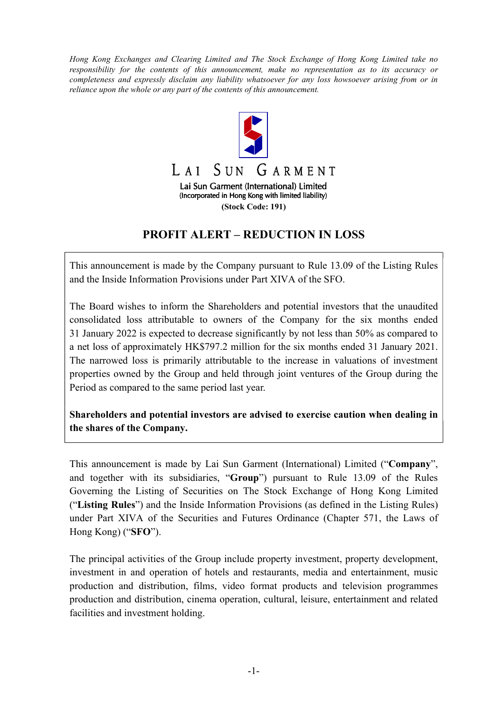Hong Kong Exchanges and Clearing Limited and The Stock Exchange of Hong Kong Limited take no responsibility for the contents of this announcement, make no representation as to its accuracy or completeness and expressly disclaim any liability whatsoever for any loss howsoever arising from or in reliance upon the whole or any part of the contents of this announcement.



## PROFIT ALERT – REDUCTION IN LOSS

This announcement is made by the Company pursuant to Rule 13.09 of the Listing Rules and the Inside Information Provisions under Part XIVA of the SFO.

The Board wishes to inform the Shareholders and potential investors that the unaudited consolidated loss attributable to owners of the Company for the six months ended 31 January 2022 is expected to decrease significantly by not less than 50% as compared to a net loss of approximately HK\$797.2 million for the six months ended 31 January 2021. The narrowed loss is primarily attributable to the increase in valuations of investment properties owned by the Group and held through joint ventures of the Group during the Period as compared to the same period last year.

Shareholders and potential investors are advised to exercise caution when dealing in the shares of the Company.

This announcement is made by Lai Sun Garment (International) Limited ("Company", and together with its subsidiaries, "Group") pursuant to Rule 13.09 of the Rules Governing the Listing of Securities on The Stock Exchange of Hong Kong Limited ("Listing Rules") and the Inside Information Provisions (as defined in the Listing Rules) under Part XIVA of the Securities and Futures Ordinance (Chapter 571, the Laws of Hong Kong) ("SFO").

The principal activities of the Group include property investment, property development, investment in and operation of hotels and restaurants, media and entertainment, music production and distribution, films, video format products and television programmes production and distribution, cinema operation, cultural, leisure, entertainment and related facilities and investment holding.